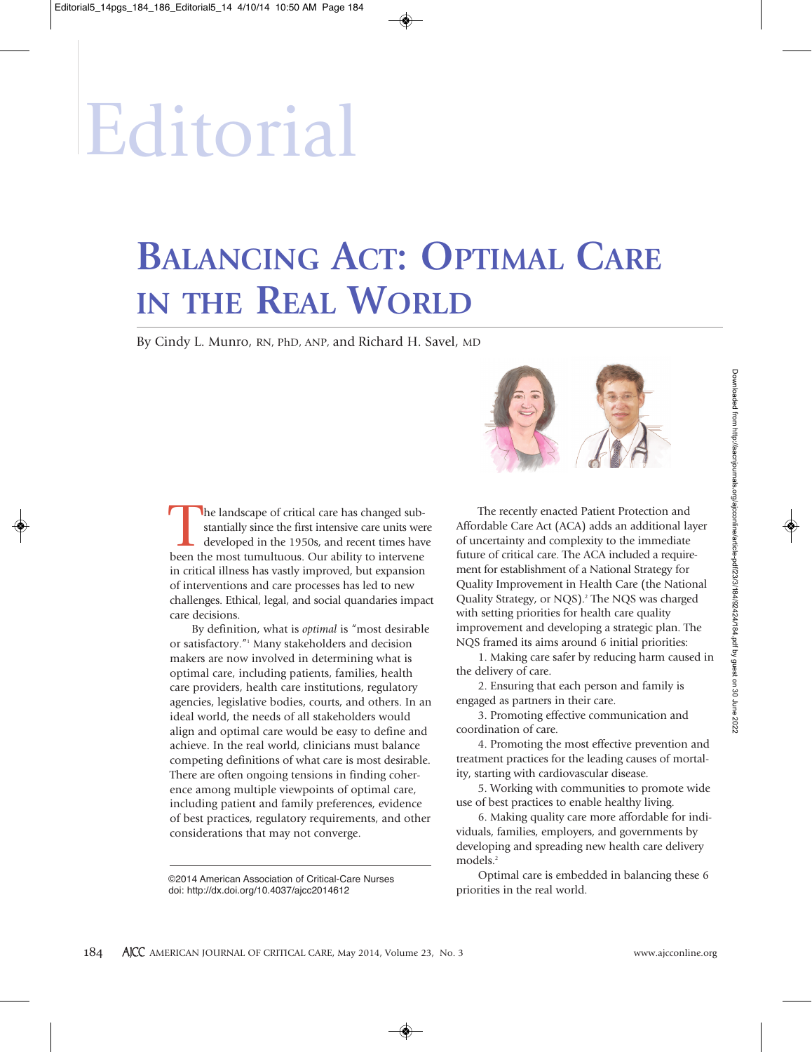# Editorial

## **BALANCING ACT: OPTIMAL CARE IN THE REAL WORLD**

By Cindy L. Munro, RN, PhD, ANP, and Richard H. Savel, MD

The recently enacted Patient Protection and Affordable Care Act (ACA) adds an additional layer of uncertainty and complexity to the immediate future of critical care. The ACA included a requirement for establishment of a National Strategy for Quality Improvement in Health Care (the National Quality Strategy, or NQS). <sup>2</sup> The NQS was charged with setting priorities for health care quality improvement and developing a strategic plan. The NQS framed its aims around 6 initial priorities:

1. Making care safer by reducing harm caused in the delivery of care.

2. Ensuring that each person and family is engaged as partners in their care.

3. Promoting effective communication and coordination of care.

4. Promoting the most effective prevention and treatment practices for the leading causes of mortality, starting with cardiovascular disease.

5. Working with communities to promote wide use of best practices to enable healthy living.

6. Making quality care more affordable for individuals, families, employers, and governments by developing and spreading new health care delivery models. 2

Optimal care is embedded in balancing these 6

The landscape of critical care has changed substantially since the first intensive care units were developed in the 1950s, and recent times have stantially since the first intensive care units were developed in the 1950s, and recent times have been the most tumultuous. Our ability to intervene in critical illness has vastly improved, but expansion of interventions and care processes has led to new challenges. Ethical, legal, and social quandaries impact care decisions.

By definition, what is *optimal* is "most desirable or satisfactory."1 Many stakeholders and decision makers are now involved in determining what is optimal care, including patients, families, health care providers, health care institutions, regulatory agencies, legislative bodies, courts, and others. In an ideal world, the needs of all stakeholders would align and optimal care would be easy to define and achieve. In the real world, clinicians must balance competing definitions of what care is most desirable. There are often ongoing tensions in finding coherence among multiple viewpoints of optimal care, including patient and family preferences, evidence of best practices, regulatory requirements, and other considerations that may not converge.

priorities in the real world. ©2014 American Association of Critical-Care Nurses doi: http://dx.doi.org/10.4037/ajcc2014612

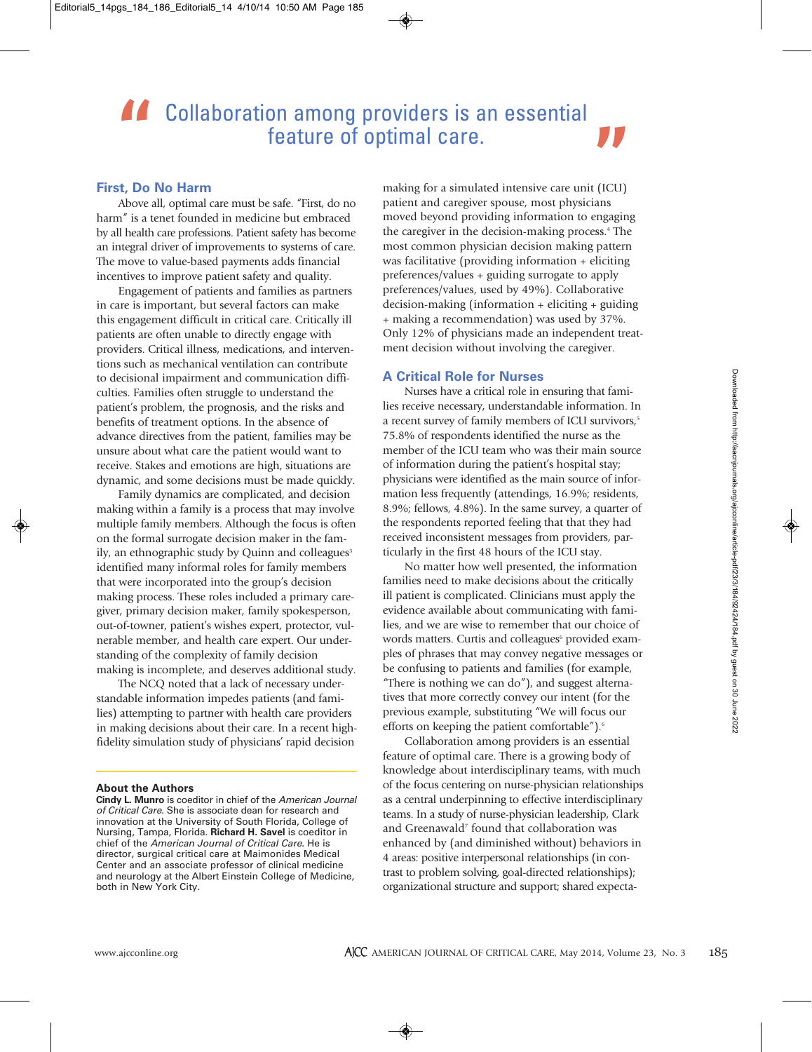### **A. Collaboration among providers is an essential** feature of optimal care.

#### **First, Do No Harm**

Above all, optimal care must be safe. "First, do no harm" is a tenet founded in medicine but embraced by all health care professions. Patient safety has become an integral driver of improvements to systems of care. The move to value-based payments adds financial incentives to improve patient safety and quality.

Engagement of patients and families as partners in care is important, but several factors can make this engagement difficult in critical care. Critically ill patients are often unable to directly engage with providers. Critical illness, medications, and interventions such as mechanical ventilation can contribute to decisional impairment and communication difficulties. Families often struggle to understand the patient's problem, the prognosis, and the risks and benefits of treatment options. In the absence of advance directives from the patient, families may be unsure about what care the patient would want to receive. Stakes and emotions are high, situations are dynamic, and some decisions must be made quickly.

Family dynamics are complicated, and decision making within a family is a process that may involve multiple family members. Although the focus is often on the formal surrogate decision maker in the family, an ethnographic study by Quinn and colleagues<sup>3</sup> identified many informal roles for family members that were incorporated into the group's decision making process. These roles included a primary caregiver, primary decision maker, family spokesperson, out-of-towner, patient's wishes expert, protector, vulnerable member, and health care expert. Our understanding of the complexity of family decision making is incomplete, and deserves additional study.

The NCQ noted that a lack of necessary understandable information impedes patients (and families) attempting to partner with health care providers in making decisions about their care. In a recent highfidelity simulation study of physicians' rapid decision

#### **About the Authors**

**Cindy L. Munro** is coeditor in chief of the *American Journal of Critical Care*. She is associate dean for research and innovation at the University of South Florida, College of Nursing, Tampa, Florida. **Richard H. Savel** is coeditor in chief of the *American Journal of Critical Care*. He is director, surgical critical care at Maimonides Medical Center and an associate professor of clinical medicine and neurology at the Albert Einstein College of Medicine, both in New York City.

**"** making for a simulated intensive care unit (ICU) patient and caregiver spouse, most physicians moved beyond providing information to engaging the caregiver in the decision-making process. <sup>4</sup> The most common physician decision making pattern was facilitative (providing information + eliciting preferences/values + guiding surrogate to apply preferences/values, used by 49%). Collaborative decision-making (information + eliciting + guiding + making a recommendation) was used by 37%. Only 12% of physicians made an independent treatment decision without involving the caregiver.

#### **A Critical Role for Nurses**

Nurses have a critical role in ensuring that families receive necessary, understandable information. In a recent survey of family members of ICU survivors, 5 75.8% of respondents identified the nurse as the member of the ICU team who was their main source of information during the patient's hospital stay; physicians were identified as the main source of information less frequently (attendings, 16.9%; residents, 8.9%; fellows, 4.8%). In the same survey, a quarter of the respondents reported feeling that that they had received inconsistent messages from providers, particularly in the first 48 hours of the ICU stay.

No matter how well presented, the information families need to make decisions about the critically ill patient is complicated. Clinicians must apply the evidence available about communicating with families, and we are wise to remember that our choice of words matters. Curtis and colleagues<sup>6</sup> provided examples of phrases that may convey negative messages or be confusing to patients and families (for example, "There is nothing we can do"), and suggest alternatives that more correctly convey our intent (for the previous example, substituting "We will focus our efforts on keeping the patient comfortable"). 6

Collaboration among providers is an essential feature of optimal care. There is a growing body of knowledge about interdisciplinary teams, with much of the focus centering on nurse-physician relationships as a central underpinning to effective interdisciplinary teams. In a study of nurse-physician leadership, Clark and Greenawald<sup>7</sup> found that collaboration was enhanced by (and diminished without) behaviors in 4 areas: positive interpersonal relationships (in contrast to problem solving, goal-directed relationships); organizational structure and support; shared expecta